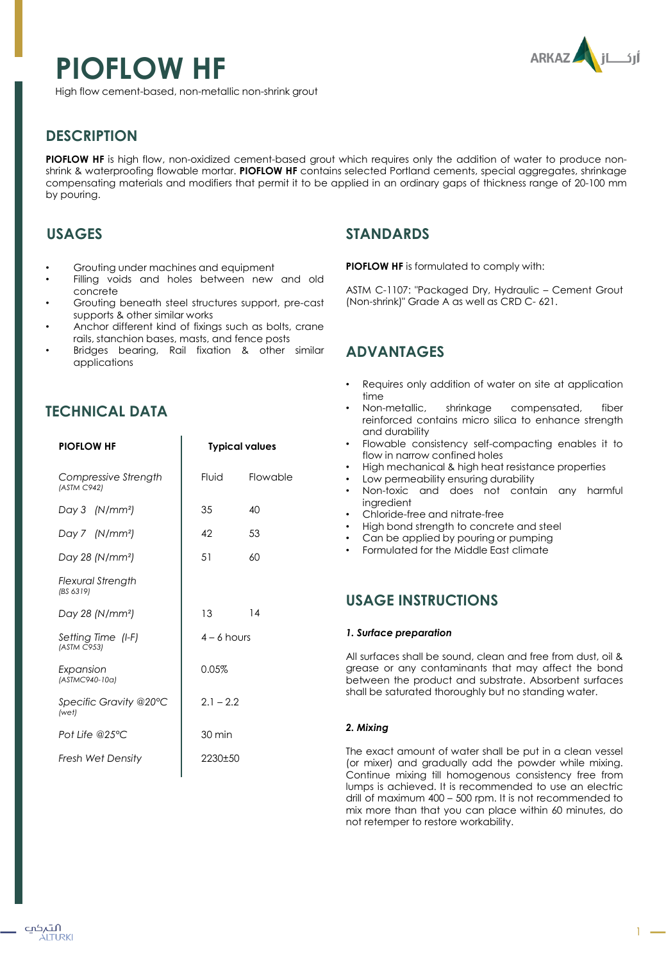# **PIOFLOW HF**



High flow cement-based, non-metallic non-shrink grout

# **DESCRIPTION**

**PIOFLOW HF** is high flow, non-oxidized cement-based grout which requires only the addition of water to produce nonshrink & waterproofing flowable mortar. **PIOFLOW HF** contains selected Portland cements, special aggregates, shrinkage compensating materials and modifiers that permit it to be applied in an ordinary gaps of thickness range of 20-100 mm by pouring.

# **USAGES**

- Grouting under machines and equipment
- Filling voids and holes between new and old concrete
- Grouting beneath steel structures support, pre-cast supports & other similar works
- Anchor different kind of fixings such as bolts, crane rails, stanchion bases, masts, and fence posts
- Bridges bearing, Rail fixation & other similar applications

## **TECHNICAL DATA**

| <b>PIOFLOW HF</b>                     | <b>Typical values</b>    |  |
|---------------------------------------|--------------------------|--|
| Compressive Strength<br>(ASTM C942)   | <b>Fluid</b><br>Flowable |  |
| Day 3 (N/mm <sup>2</sup> )            | 35<br>40                 |  |
| Day 7 (N/mm <sup>2</sup> )            | 53<br>42                 |  |
| Day 28 (N/mm <sup>2</sup> )           | 60<br>51                 |  |
| <b>Flexural Strength</b><br>(BS 6319) |                          |  |
| Day 28 (N/mm <sup>2</sup> )           | 14<br>13                 |  |
| Setting Time (I-F)<br>(ASTM C953)     | $4 - 6$ hours            |  |
| Expansion<br>(ASTMC940-10a)           | $0.05\%$                 |  |
| Specific Gravity @20°C<br>(wet)       | $2.1 - 2.2$              |  |
| Pot Life @25 $\degree$ C              | 30 min                   |  |
| <b>Fresh Wet Density</b>              | 2230±50                  |  |

## **STANDARDS**

**PIOFLOW HF** is formulated to comply with:

ASTM C-1107: "Packaged Dry, Hydraulic – Cement Grout (Non-shrink)" Grade A as well as CRD C- 621.

# **ADVANTAGES**

- Requires only addition of water on site at application time
- Non-metallic, shrinkage compensated, fiber reinforced contains micro silica to enhance strength and durability
- Flowable consistency self-compacting enables it to flow in narrow confined holes
- High mechanical & high heat resistance properties
- Low permeability ensuring durability
- Non-toxic and does not contain any harmful ingredient
- Chloride-free and nitrate-free
- High bond strength to concrete and steel
- Can be applied by pouring or pumping
- Formulated for the Middle East climate

## **USAGE INSTRUCTIONS**

### *1. Surface preparation*

All surfaces shall be sound, clean and free from dust, oil & grease or any contaminants that may affect the bond between the product and substrate. Absorbent surfaces shall be saturated thoroughly but no standing water.

## *2. Mixing*

The exact amount of water shall be put in a clean vessel (or mixer) and gradually add the powder while mixing. Continue mixing till homogenous consistency free from lumps is achieved. It is recommended to use an electric drill of maximum 400 – 500 rpm. It is not recommended to mix more than that you can place within 60 minutes, do not retemper to restore workability.